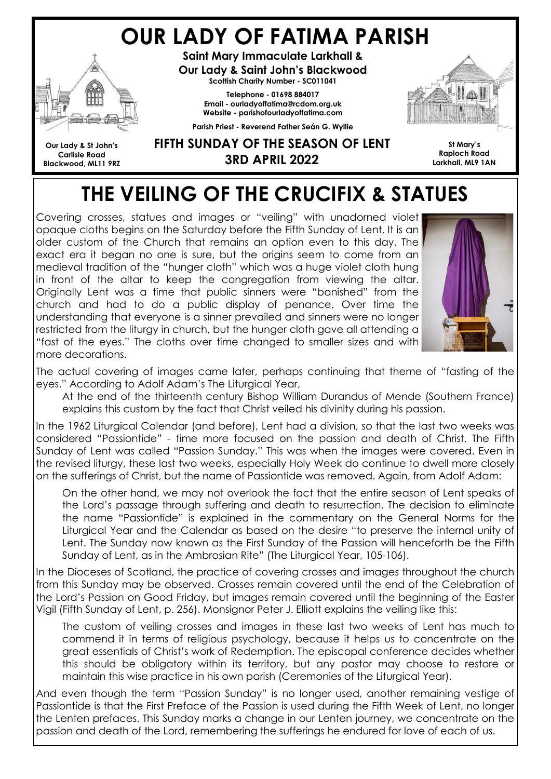# OUR LADY OF FATIMA PARISH



Saint Mary Immaculate Larkhall & Our Lady & Saint John's Blackwood Scottish Charity Number - SC011041

> Telephone - 01698 884017 Email - ourladyoffatima@rcdom.org.uk Website - parishofourladyoffatima.com

Parish Priest - Reverend Father Seán G. Wyllie



Our Lady & St John's Carlisle Road Blackwood, ML11 9RZ

## FIFTH SUNDAY OF THE SEASON OF LENT 3RD APRIL 2022

St Mary's Raploch Road Larkhall, ML9 1AN

# THE VEILING OF THE CRUCIFIX & STATUES

Covering crosses, statues and images or "veiling" with unadorned violet opaque cloths begins on the Saturday before the Fifth Sunday of Lent. It is an older custom of the Church that remains an option even to this day. The exact era it began no one is sure, but the origins seem to come from an medieval tradition of the "hunger cloth" which was a huge violet cloth hung in front of the altar to keep the congregation from viewing the altar. Originally Lent was a time that public sinners were "banished" from the church and had to do a public display of penance. Over time the understanding that everyone is a sinner prevailed and sinners were no longer restricted from the liturgy in church, but the hunger cloth gave all attending a "fast of the eyes." The cloths over time changed to smaller sizes and with more decorations.



The actual covering of images came later, perhaps continuing that theme of "fasting of the eyes." According to Adolf Adam's The Liturgical Year,

At the end of the thirteenth century Bishop William Durandus of Mende (Southern France) explains this custom by the fact that Christ veiled his divinity during his passion.

In the 1962 Liturgical Calendar (and before), Lent had a division, so that the last two weeks was considered "Passiontide" - time more focused on the passion and death of Christ. The Fifth Sunday of Lent was called "Passion Sunday." This was when the images were covered. Even in the revised liturgy, these last two weeks, especially Holy Week do continue to dwell more closely on the sufferings of Christ, but the name of Passiontide was removed. Again, from Adolf Adam:

On the other hand, we may not overlook the fact that the entire season of Lent speaks of the Lord's passage through suffering and death to resurrection. The decision to eliminate the name "Passiontide" is explained in the commentary on the General Norms for the Liturgical Year and the Calendar as based on the desire "to preserve the internal unity of Lent. The Sunday now known as the First Sunday of the Passion will henceforth be the Fifth Sunday of Lent, as in the Ambrosian Rite" (The Liturgical Year, 105-106).

In the Dioceses of Scotland, the practice of covering crosses and images throughout the church from this Sunday may be observed. Crosses remain covered until the end of the Celebration of the Lord's Passion on Good Friday, but images remain covered until the beginning of the Easter Vigil (Fifth Sunday of Lent, p. 256). Monsignor Peter J. Elliott explains the veiling like this:

The custom of veiling crosses and images in these last two weeks of Lent has much to commend it in terms of religious psychology, because it helps us to concentrate on the great essentials of Christ's work of Redemption. The episcopal conference decides whether this should be obligatory within its territory, but any pastor may choose to restore or maintain this wise practice in his own parish (Ceremonies of the Liturgical Year).

And even though the term "Passion Sunday" is no longer used, another remaining vestige of Passiontide is that the First Preface of the Passion is used during the Fifth Week of Lent, no longer the Lenten prefaces. This Sunday marks a change in our Lenten journey, we concentrate on the passion and death of the Lord, remembering the sufferings he endured for love of each of us.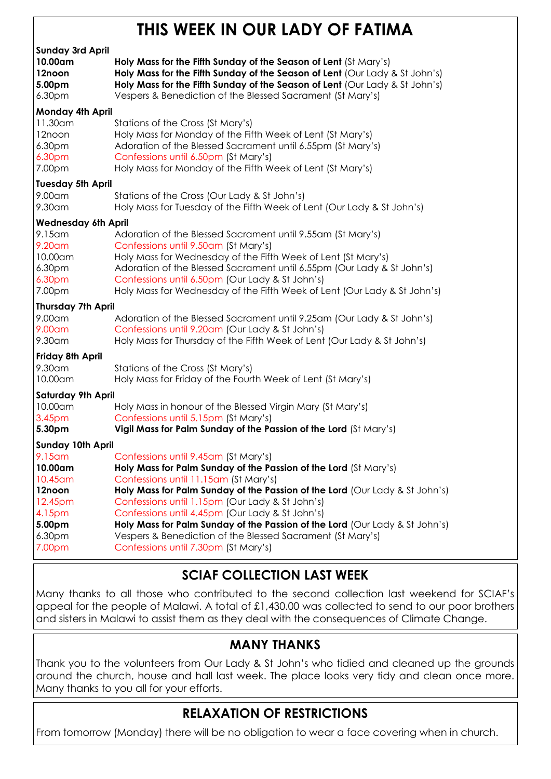## THIS WEEK IN OUR LADY OF FATIMA

| <b>Sunday 3rd April</b><br>10.00am<br>12noon<br>5.00pm<br>6.30pm<br><b>Monday 4th April</b><br>11.30am                    | Holy Mass for the Fifth Sunday of the Season of Lent (St Mary's)<br>Holy Mass for the Fifth Sunday of the Season of Lent (Our Lady & St John's)<br>Holy Mass for the Fifth Sunday of the Season of Lent (Our Lady & St John's)<br>Vespers & Benediction of the Blessed Sacrament (St Mary's)<br>Stations of the Cross (St Mary's)                                                                                                                                                                                           |
|---------------------------------------------------------------------------------------------------------------------------|-----------------------------------------------------------------------------------------------------------------------------------------------------------------------------------------------------------------------------------------------------------------------------------------------------------------------------------------------------------------------------------------------------------------------------------------------------------------------------------------------------------------------------|
| 12noon<br>6.30pm<br>6.30pm<br>7.00pm                                                                                      | Holy Mass for Monday of the Fifth Week of Lent (St Mary's)<br>Adoration of the Blessed Sacrament until 6.55pm (St Mary's)<br>Confessions until 6.50pm (St Mary's)<br>Holy Mass for Monday of the Fifth Week of Lent (St Mary's)                                                                                                                                                                                                                                                                                             |
| <b>Tuesday 5th April</b><br>9.00am<br>9.30am                                                                              | Stations of the Cross (Our Lady & St John's)<br>Holy Mass for Tuesday of the Fifth Week of Lent (Our Lady & St John's)                                                                                                                                                                                                                                                                                                                                                                                                      |
| <b>Wednesday 6th April</b><br>$9.15$ am<br>9.20am<br>10.00am<br>6.30pm<br>6.30pm<br>7.00pm                                | Adoration of the Blessed Sacrament until 9.55am (St Mary's)<br>Confessions until 9.50am (St Mary's)<br>Holy Mass for Wednesday of the Fifth Week of Lent (St Mary's)<br>Adoration of the Blessed Sacrament until 6.55pm (Our Lady & St John's)<br>Confessions until 6.50pm (Our Lady & St John's)<br>Holy Mass for Wednesday of the Fifth Week of Lent (Our Lady & St John's)                                                                                                                                               |
| <b>Thursday 7th April</b><br>9.00am<br>9.00am<br>9.30am                                                                   | Adoration of the Blessed Sacrament until 9.25am (Our Lady & St John's)<br>Confessions until 9.20am (Our Lady & St John's)<br>Holy Mass for Thursday of the Fifth Week of Lent (Our Lady & St John's)                                                                                                                                                                                                                                                                                                                        |
| <b>Friday 8th April</b><br>9.30am<br>10.00am                                                                              | Stations of the Cross (St Mary's)<br>Holy Mass for Friday of the Fourth Week of Lent (St Mary's)                                                                                                                                                                                                                                                                                                                                                                                                                            |
| <b>Saturday 9th April</b><br>10.00am<br>3.45pm<br>5.30pm                                                                  | Holy Mass in honour of the Blessed Virgin Mary (St Mary's)<br>Confessions until 5.15pm (St Mary's)<br>Vigil Mass for Palm Sunday of the Passion of the Lord (St Mary's)                                                                                                                                                                                                                                                                                                                                                     |
| <b>Sunday 10th April</b><br>$9.15$ am<br>10.00am<br>10.45 am<br>12noon<br>12.45pm<br>4.15pm<br>5.00pm<br>6.30pm<br>7.00pm | Confessions until 9.45am (St Mary's)<br>Holy Mass for Palm Sunday of the Passion of the Lord (St Mary's)<br>Confessions until 11.15am (St Mary's)<br>Holy Mass for Palm Sunday of the Passion of the Lord (Our Lady & St John's)<br>Confessions until 1.15pm (Our Lady & St John's)<br>Confessions until 4.45pm (Our Lady & St John's)<br>Holy Mass for Palm Sunday of the Passion of the Lord (Our Lady & St John's)<br>Vespers & Benediction of the Blessed Sacrament (St Mary's)<br>Confessions until 7.30pm (St Mary's) |

## SCIAF COLLECTION LAST WEEK

Many thanks to all those who contributed to the second collection last weekend for SCIAF's appeal for the people of Malawi. A total of £1,430.00 was collected to send to our poor brothers and sisters in Malawi to assist them as they deal with the consequences of Climate Change.

## MANY THANKS

Thank you to the volunteers from Our Lady & St John's who tidied and cleaned up the grounds around the church, house and hall last week. The place looks very tidy and clean once more. Many thanks to you all for your efforts.

## RELAXATION OF RESTRICTIONS

From tomorrow (Monday) there will be no obligation to wear a face covering when in church.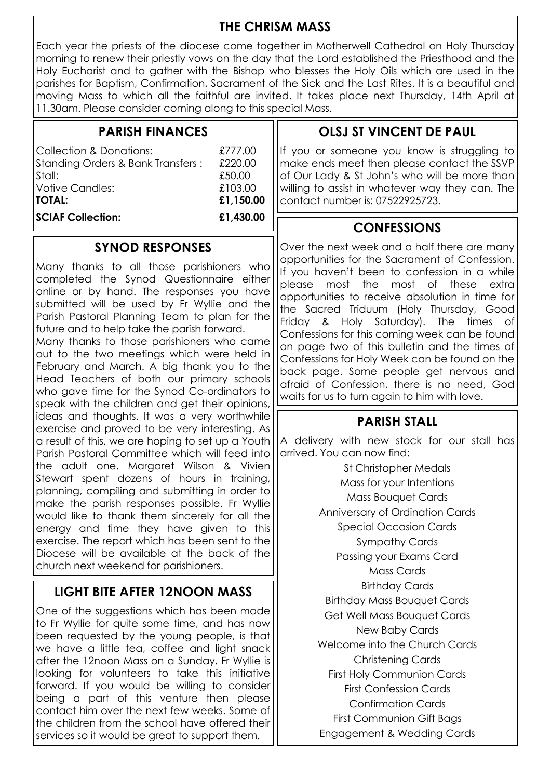## THE CHRISM MASS

Each year the priests of the diocese come together in Motherwell Cathedral on Holy Thursday morning to renew their priestly vows on the day that the Lord established the Priesthood and the Holy Eucharist and to gather with the Bishop who blesses the Holy Oils which are used in the parishes for Baptism, Confirmation, Sacrament of the Sick and the Last Rites. It is a beautiful and moving Mass to which all the faithful are invited. It takes place next Thursday, 14th April at 11.30am. Please consider coming along to this special Mass.

### PARISH FINANCES

| <b>SCIAF Collection:</b>          | £1,430.00 |
|-----------------------------------|-----------|
| <b>TOTAL:</b>                     | £1,150.00 |
| <b>Votive Candles:</b>            | £103.00   |
| Stall:                            | £50.00    |
| Standing Orders & Bank Transfers: | £220.00   |
| Collection & Donations:           | £777.00   |
|                                   |           |

### SYNOD RESPONSES

Many thanks to all those parishioners who completed the Synod Questionnaire either online or by hand. The responses you have submitted will be used by Fr Wyllie and the Parish Pastoral Planning Team to plan for the future and to help take the parish forward.

Many thanks to those parishioners who came out to the two meetings which were held in February and March. A big thank you to the Head Teachers of both our primary schools who gave time for the Synod Co-ordinators to speak with the children and get their opinions, ideas and thoughts. It was a very worthwhile exercise and proved to be very interesting. As a result of this, we are hoping to set up a Youth Parish Pastoral Committee which will feed into the adult one. Margaret Wilson & Vivien Stewart spent dozens of hours in training, planning, compiling and submitting in order to make the parish responses possible. Fr Wyllie would like to thank them sincerely for all the energy and time they have given to this exercise. The report which has been sent to the Diocese will be available at the back of the church next weekend for parishioners.

## LIGHT BITE AFTER 12NOON MASS

One of the suggestions which has been made to Fr Wyllie for quite some time, and has now been requested by the young people, is that we have a little tea, coffee and light snack after the 12noon Mass on a Sunday. Fr Wyllie is looking for volunteers to take this initiative forward. If you would be willing to consider being a part of this venture then please contact him over the next few weeks. Some of the children from the school have offered their services so it would be great to support them.

## OLSJ ST VINCENT DE PAUL

If you or someone you know is struggling to make ends meet then please contact the SSVP of Our Lady & St John's who will be more than willing to assist in whatever way they can. The contact number is: 07522925723.

## **CONFESSIONS**

Over the next week and a half there are many opportunities for the Sacrament of Confession. If you haven't been to confession in a while please most the most of these extra opportunities to receive absolution in time for the Sacred Triduum (Holy Thursday, Good Friday & Holy Saturday). The times of Confessions for this coming week can be found on page two of this bulletin and the times of Confessions for Holy Week can be found on the back page. Some people get nervous and afraid of Confession, there is no need, God waits for us to turn again to him with love.

## PARISH STALL

A delivery with new stock for our stall has arrived. You can now find:

> St Christopher Medals Mass for your Intentions Mass Bouquet Cards Anniversary of Ordination Cards Special Occasion Cards Sympathy Cards Passing your Exams Card Mass Cards Birthday Cards Birthday Mass Bouquet Cards Get Well Mass Bouquet Cards New Baby Cards Welcome into the Church Cards Christening Cards First Holy Communion Cards First Confession Cards Confirmation Cards First Communion Gift Bags Engagement & Wedding Cards